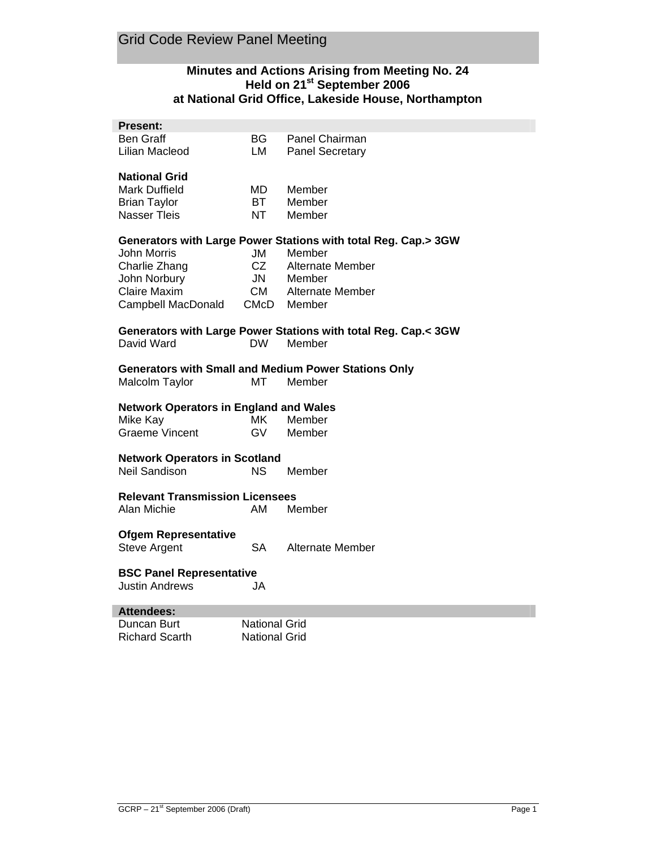## **Minutes and Actions Arising from Meeting No. 24 Held on 21st September 2006 at National Grid Office, Lakeside House, Northampton**

| <b>Present:</b>                               |                      |                                                                       |
|-----------------------------------------------|----------------------|-----------------------------------------------------------------------|
| Ben Graff                                     | BG.                  | Panel Chairman                                                        |
| Lilian Macleod                                | LM                   | <b>Panel Secretary</b>                                                |
| <b>National Grid</b>                          |                      |                                                                       |
| <b>Mark Duffield</b>                          | MD.                  | Member                                                                |
| <b>Brian Taylor</b>                           | <b>BT</b>            | Member                                                                |
| <b>Nasser Tleis</b>                           | NT                   | Member                                                                |
|                                               |                      | Generators with Large Power Stations with total Reg. Cap.> 3GW        |
| <b>John Morris</b>                            | JM                   | Member                                                                |
| Charlie Zhang                                 | CZ                   | Alternate Member                                                      |
| John Norbury                                  | <b>JN</b>            | Member                                                                |
| <b>Claire Maxim</b>                           | CM                   | Alternate Member                                                      |
| Campbell MacDonald                            | CMcD                 | Member                                                                |
|                                               |                      | Generators with Large Power Stations with total Reg. Cap.< 3GW        |
| David Ward                                    | DW.                  | Member                                                                |
| Malcolm Taylor                                | MT                   | <b>Generators with Small and Medium Power Stations Only</b><br>Member |
| <b>Network Operators in England and Wales</b> |                      |                                                                       |
| Mike Kay                                      | <b>MK</b>            | Member                                                                |
| <b>Graeme Vincent</b>                         | GV                   | Member                                                                |
| <b>Network Operators in Scotland</b>          |                      |                                                                       |
| <b>Neil Sandison</b>                          | NS.                  | Member                                                                |
| <b>Relevant Transmission Licensees</b>        |                      |                                                                       |
| Alan Michie                                   | AM                   | Member                                                                |
| <b>Ofgem Representative</b>                   |                      |                                                                       |
| <b>Steve Argent</b>                           | SA                   | Alternate Member                                                      |
| <b>BSC Panel Representative</b>               |                      |                                                                       |
| <b>Justin Andrews</b>                         | JA                   |                                                                       |
| <b>Attendees:</b>                             |                      |                                                                       |
| Duncan Burt                                   | <b>National Grid</b> |                                                                       |
| <b>Richard Scarth</b>                         | National Grid        |                                                                       |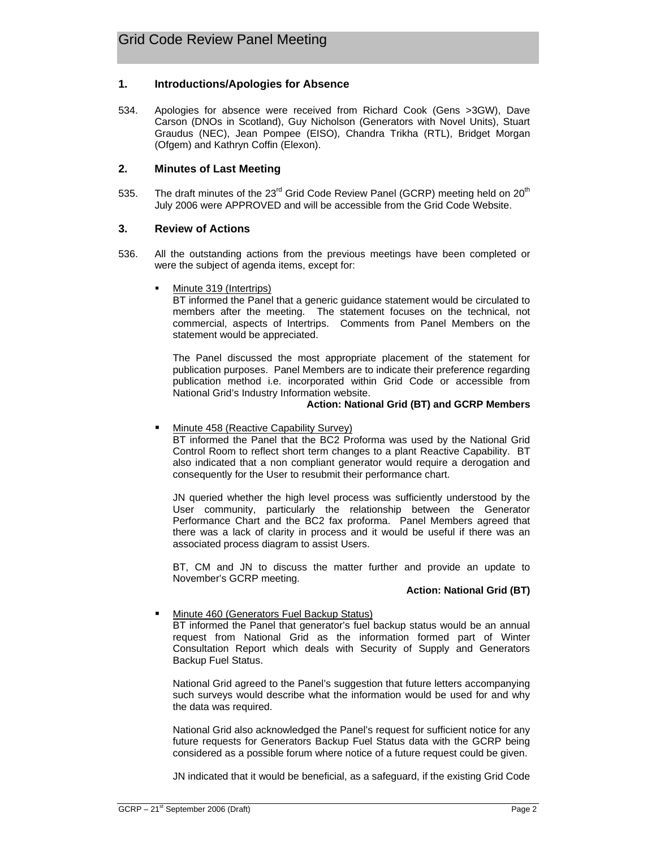## **1. Introductions/Apologies for Absence**

534. Apologies for absence were received from Richard Cook (Gens >3GW), Dave Carson (DNOs in Scotland), Guy Nicholson (Generators with Novel Units), Stuart Graudus (NEC), Jean Pompee (EISO), Chandra Trikha (RTL), Bridget Morgan (Ofgem) and Kathryn Coffin (Elexon).

## **2. Minutes of Last Meeting**

535. The draft minutes of the 23<sup>rd</sup> Grid Code Review Panel (GCRP) meeting held on 20<sup>th</sup> July 2006 were APPROVED and will be accessible from the Grid Code Website.

## **3. Review of Actions**

- 536. All the outstanding actions from the previous meetings have been completed or were the subject of agenda items, except for:
	- Minute 319 (Intertrips)

BT informed the Panel that a generic guidance statement would be circulated to members after the meeting. The statement focuses on the technical, not commercial, aspects of Intertrips. Comments from Panel Members on the statement would be appreciated.

The Panel discussed the most appropriate placement of the statement for publication purposes. Panel Members are to indicate their preference regarding publication method i.e. incorporated within Grid Code or accessible from National Grid's Industry Information website.

#### **Action: National Grid (BT) and GCRP Members**

Minute 458 (Reactive Capability Survey)

BT informed the Panel that the BC2 Proforma was used by the National Grid Control Room to reflect short term changes to a plant Reactive Capability. BT also indicated that a non compliant generator would require a derogation and consequently for the User to resubmit their performance chart.

JN queried whether the high level process was sufficiently understood by the User community, particularly the relationship between the Generator Performance Chart and the BC2 fax proforma. Panel Members agreed that there was a lack of clarity in process and it would be useful if there was an associated process diagram to assist Users.

BT, CM and JN to discuss the matter further and provide an update to November's GCRP meeting.

#### **Action: National Grid (BT)**

Minute 460 (Generators Fuel Backup Status)

BT informed the Panel that generator's fuel backup status would be an annual request from National Grid as the information formed part of Winter Consultation Report which deals with Security of Supply and Generators Backup Fuel Status.

National Grid agreed to the Panel's suggestion that future letters accompanying such surveys would describe what the information would be used for and why the data was required.

National Grid also acknowledged the Panel's request for sufficient notice for any future requests for Generators Backup Fuel Status data with the GCRP being considered as a possible forum where notice of a future request could be given.

JN indicated that it would be beneficial, as a safeguard, if the existing Grid Code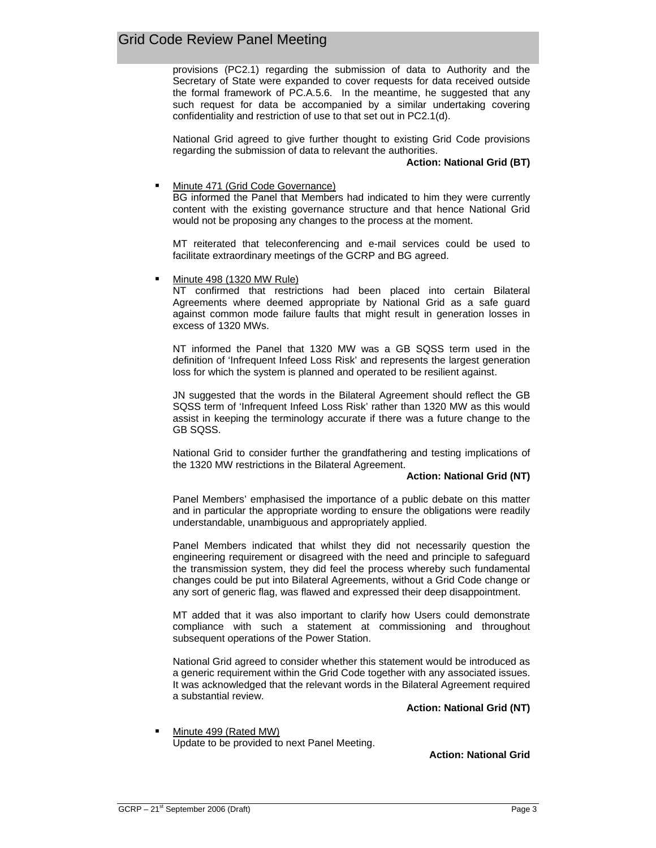provisions (PC2.1) regarding the submission of data to Authority and the Secretary of State were expanded to cover requests for data received outside the formal framework of PC.A.5.6. In the meantime, he suggested that any such request for data be accompanied by a similar undertaking covering confidentiality and restriction of use to that set out in PC2.1(d).

National Grid agreed to give further thought to existing Grid Code provisions regarding the submission of data to relevant the authorities.

#### **Action: National Grid (BT)**

#### Minute 471 (Grid Code Governance)

BG informed the Panel that Members had indicated to him they were currently content with the existing governance structure and that hence National Grid would not be proposing any changes to the process at the moment.

MT reiterated that teleconferencing and e-mail services could be used to facilitate extraordinary meetings of the GCRP and BG agreed.

Minute 498 (1320 MW Rule)

NT confirmed that restrictions had been placed into certain Bilateral Agreements where deemed appropriate by National Grid as a safe guard against common mode failure faults that might result in generation losses in excess of 1320 MWs.

NT informed the Panel that 1320 MW was a GB SQSS term used in the definition of 'Infrequent Infeed Loss Risk' and represents the largest generation loss for which the system is planned and operated to be resilient against.

JN suggested that the words in the Bilateral Agreement should reflect the GB SQSS term of 'Infrequent Infeed Loss Risk' rather than 1320 MW as this would assist in keeping the terminology accurate if there was a future change to the GB SQSS.

National Grid to consider further the grandfathering and testing implications of the 1320 MW restrictions in the Bilateral Agreement.

#### **Action: National Grid (NT)**

Panel Members' emphasised the importance of a public debate on this matter and in particular the appropriate wording to ensure the obligations were readily understandable, unambiguous and appropriately applied.

Panel Members indicated that whilst they did not necessarily question the engineering requirement or disagreed with the need and principle to safeguard the transmission system, they did feel the process whereby such fundamental changes could be put into Bilateral Agreements, without a Grid Code change or any sort of generic flag, was flawed and expressed their deep disappointment.

MT added that it was also important to clarify how Users could demonstrate compliance with such a statement at commissioning and throughout subsequent operations of the Power Station.

National Grid agreed to consider whether this statement would be introduced as a generic requirement within the Grid Code together with any associated issues. It was acknowledged that the relevant words in the Bilateral Agreement required a substantial review.

**Action: National Grid (NT)**

 Minute 499 (Rated MW) Update to be provided to next Panel Meeting.

**Action: National Grid**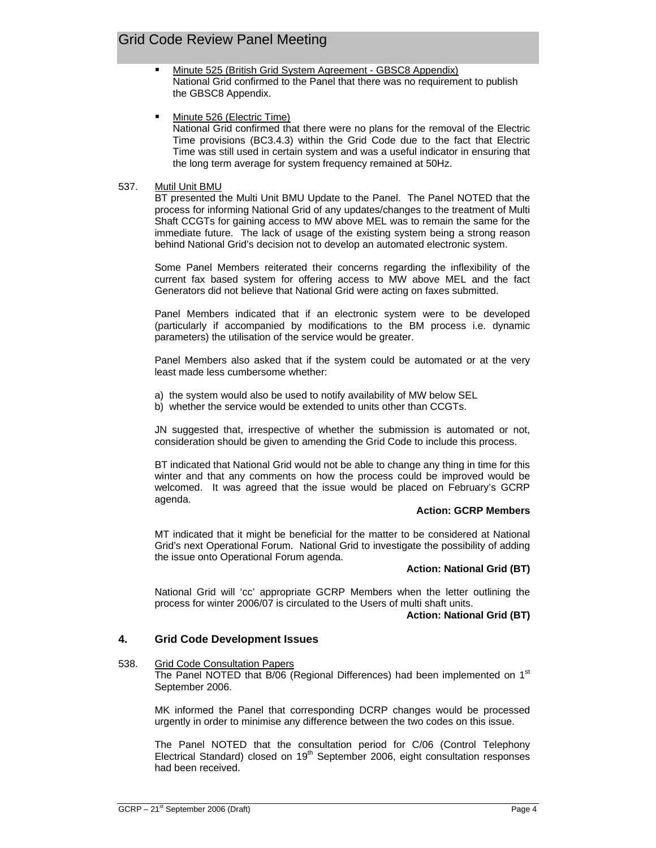- Minute 525 (British Grid System Agreement GBSC8 Appendix) National Grid confirmed to the Panel that there was no requirement to publish the GBSC8 Appendix.
- Minute 526 (Electric Time) National Grid confirmed that there were no plans for the removal of the Electric Time provisions (BC3.4.3) within the Grid Code due to the fact that Electric Time was still used in certain system and was a useful indicator in ensuring that the long term average for system frequency remained at 50Hz.

### 537. Mutil Unit BMU

BT presented the Multi Unit BMU Update to the Panel. The Panel NOTED that the process for informing National Grid of any updates/changes to the treatment of Multi Shaft CCGTs for gaining access to MW above MEL was to remain the same for the immediate future. The lack of usage of the existing system being a strong reason behind National Grid's decision not to develop an automated electronic system.

Some Panel Members reiterated their concerns regarding the inflexibility of the current fax based system for offering access to MW above MEL and the fact Generators did not believe that National Grid were acting on faxes submitted.

Panel Members indicated that if an electronic system were to be developed (particularly if accompanied by modifications to the BM process i.e. dynamic parameters) the utilisation of the service would be greater.

Panel Members also asked that if the system could be automated or at the very least made less cumbersome whether:

- a) the system would also be used to notify availability of MW below SEL
- b) whether the service would be extended to units other than CCGTs.

JN suggested that, irrespective of whether the submission is automated or not, consideration should be given to amending the Grid Code to include this process.

BT indicated that National Grid would not be able to change any thing in time for this winter and that any comments on how the process could be improved would be welcomed. It was agreed that the issue would be placed on February's GCRP agenda.

#### **Action: GCRP Members**

MT indicated that it might be beneficial for the matter to be considered at National Grid's next Operational Forum. National Grid to investigate the possibility of adding the issue onto Operational Forum agenda.

## **Action: National Grid (BT)**

National Grid will 'cc' appropriate GCRP Members when the letter outlining the process for winter 2006/07 is circulated to the Users of multi shaft units.

#### **Action: National Grid (BT)**

## **4. Grid Code Development Issues**

#### 538. Grid Code Consultation Papers

The Panel NOTED that B/06 (Regional Differences) had been implemented on  $1<sup>st</sup>$ September 2006.

MK informed the Panel that corresponding DCRP changes would be processed urgently in order to minimise any difference between the two codes on this issue.

The Panel NOTED that the consultation period for C/06 (Control Telephony Electrical Standard) closed on  $19<sup>th</sup>$  September 2006, eight consultation responses had been received.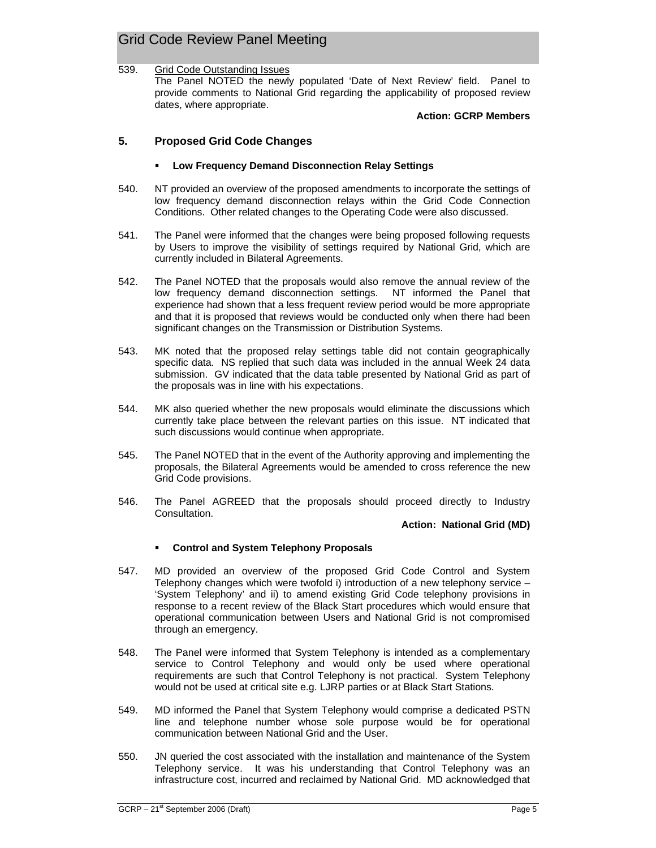# Grid Code Review Panel Meeting

#### 539. Grid Code Outstanding Issues The Panel NOTED the newly populated 'Date of Next Review' field. Panel to provide comments to National Grid regarding the applicability of proposed review dates, where appropriate.

**Action: GCRP Members** 

## **5. Proposed Grid Code Changes**

#### **Low Frequency Demand Disconnection Relay Settings**

- 540. NT provided an overview of the proposed amendments to incorporate the settings of low frequency demand disconnection relays within the Grid Code Connection Conditions. Other related changes to the Operating Code were also discussed.
- 541. The Panel were informed that the changes were being proposed following requests by Users to improve the visibility of settings required by National Grid, which are currently included in Bilateral Agreements.
- 542. The Panel NOTED that the proposals would also remove the annual review of the low frequency demand disconnection settings. NT informed the Panel that experience had shown that a less frequent review period would be more appropriate and that it is proposed that reviews would be conducted only when there had been significant changes on the Transmission or Distribution Systems.
- 543. MK noted that the proposed relay settings table did not contain geographically specific data. NS replied that such data was included in the annual Week 24 data submission. GV indicated that the data table presented by National Grid as part of the proposals was in line with his expectations.
- 544. MK also queried whether the new proposals would eliminate the discussions which currently take place between the relevant parties on this issue. NT indicated that such discussions would continue when appropriate.
- 545. The Panel NOTED that in the event of the Authority approving and implementing the proposals, the Bilateral Agreements would be amended to cross reference the new Grid Code provisions.
- 546. The Panel AGREED that the proposals should proceed directly to Industry Consultation.

**Action: National Grid (MD)**

## **Control and System Telephony Proposals**

- 547. MD provided an overview of the proposed Grid Code Control and System Telephony changes which were twofold i) introduction of a new telephony service – 'System Telephony' and ii) to amend existing Grid Code telephony provisions in response to a recent review of the Black Start procedures which would ensure that operational communication between Users and National Grid is not compromised through an emergency.
- 548. The Panel were informed that System Telephony is intended as a complementary service to Control Telephony and would only be used where operational requirements are such that Control Telephony is not practical. System Telephony would not be used at critical site e.g. LJRP parties or at Black Start Stations.
- 549. MD informed the Panel that System Telephony would comprise a dedicated PSTN line and telephone number whose sole purpose would be for operational communication between National Grid and the User.
- 550. JN queried the cost associated with the installation and maintenance of the System Telephony service. It was his understanding that Control Telephony was an infrastructure cost, incurred and reclaimed by National Grid. MD acknowledged that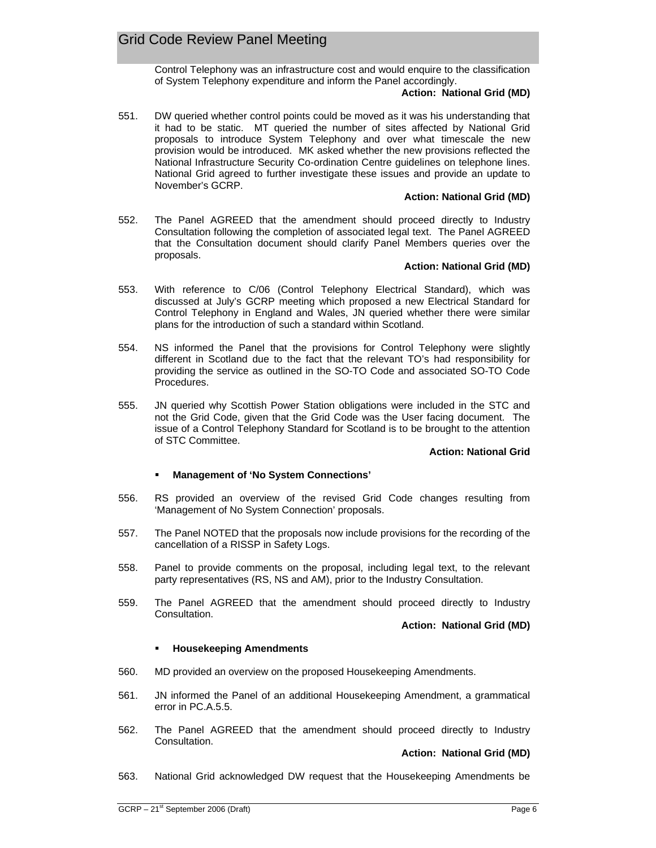Control Telephony was an infrastructure cost and would enquire to the classification of System Telephony expenditure and inform the Panel accordingly.

#### **Action: National Grid (MD)**

551. DW queried whether control points could be moved as it was his understanding that it had to be static. MT queried the number of sites affected by National Grid proposals to introduce System Telephony and over what timescale the new provision would be introduced. MK asked whether the new provisions reflected the National Infrastructure Security Co-ordination Centre guidelines on telephone lines. National Grid agreed to further investigate these issues and provide an update to November's GCRP.

### **Action: National Grid (MD)**

552. The Panel AGREED that the amendment should proceed directly to Industry Consultation following the completion of associated legal text. The Panel AGREED that the Consultation document should clarify Panel Members queries over the proposals.

#### **Action: National Grid (MD)**

- 553. With reference to C/06 (Control Telephony Electrical Standard), which was discussed at July's GCRP meeting which proposed a new Electrical Standard for Control Telephony in England and Wales, JN queried whether there were similar plans for the introduction of such a standard within Scotland.
- 554. NS informed the Panel that the provisions for Control Telephony were slightly different in Scotland due to the fact that the relevant TO's had responsibility for providing the service as outlined in the SO-TO Code and associated SO-TO Code Procedures.
- 555. JN queried why Scottish Power Station obligations were included in the STC and not the Grid Code, given that the Grid Code was the User facing document. The issue of a Control Telephony Standard for Scotland is to be brought to the attention of STC Committee.

#### **Action: National Grid**

## **Management of 'No System Connections'**

- 556. RS provided an overview of the revised Grid Code changes resulting from 'Management of No System Connection' proposals.
- 557. The Panel NOTED that the proposals now include provisions for the recording of the cancellation of a RISSP in Safety Logs.
- 558. Panel to provide comments on the proposal, including legal text, to the relevant party representatives (RS, NS and AM), prior to the Industry Consultation.
- 559. The Panel AGREED that the amendment should proceed directly to Industry Consultation.

**Action: National Grid (MD)**

#### **Housekeeping Amendments**

- 560. MD provided an overview on the proposed Housekeeping Amendments.
- 561. JN informed the Panel of an additional Housekeeping Amendment, a grammatical error in PC.A.5.5.
- 562. The Panel AGREED that the amendment should proceed directly to Industry Consultation.

#### **Action: National Grid (MD)**

563. National Grid acknowledged DW request that the Housekeeping Amendments be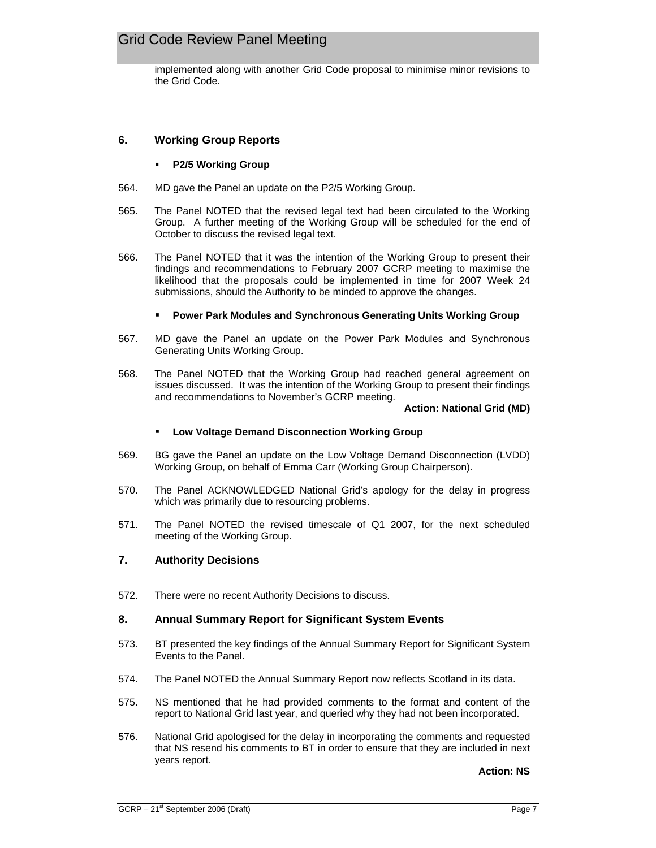## Grid Code Review Panel Meeting

implemented along with another Grid Code proposal to minimise minor revisions to the Grid Code.

## **6. Working Group Reports**

### **P2/5 Working Group**

- 564. MD gave the Panel an update on the P2/5 Working Group.
- 565. The Panel NOTED that the revised legal text had been circulated to the Working Group. A further meeting of the Working Group will be scheduled for the end of October to discuss the revised legal text.
- 566. The Panel NOTED that it was the intention of the Working Group to present their findings and recommendations to February 2007 GCRP meeting to maximise the likelihood that the proposals could be implemented in time for 2007 Week 24 submissions, should the Authority to be minded to approve the changes.

#### **Power Park Modules and Synchronous Generating Units Working Group**

- 567. MD gave the Panel an update on the Power Park Modules and Synchronous Generating Units Working Group.
- 568. The Panel NOTED that the Working Group had reached general agreement on issues discussed. It was the intention of the Working Group to present their findings and recommendations to November's GCRP meeting.

#### **Action: National Grid (MD)**

#### **Low Voltage Demand Disconnection Working Group**

- 569. BG gave the Panel an update on the Low Voltage Demand Disconnection (LVDD) Working Group, on behalf of Emma Carr (Working Group Chairperson).
- 570. The Panel ACKNOWLEDGED National Grid's apology for the delay in progress which was primarily due to resourcing problems.
- 571. The Panel NOTED the revised timescale of Q1 2007, for the next scheduled meeting of the Working Group.

## **7. Authority Decisions**

572. There were no recent Authority Decisions to discuss.

## **8. Annual Summary Report for Significant System Events**

- 573. BT presented the key findings of the Annual Summary Report for Significant System Events to the Panel.
- 574. The Panel NOTED the Annual Summary Report now reflects Scotland in its data.
- 575. NS mentioned that he had provided comments to the format and content of the report to National Grid last year, and queried why they had not been incorporated.
- 576. National Grid apologised for the delay in incorporating the comments and requested that NS resend his comments to BT in order to ensure that they are included in next years report.

**Action: NS**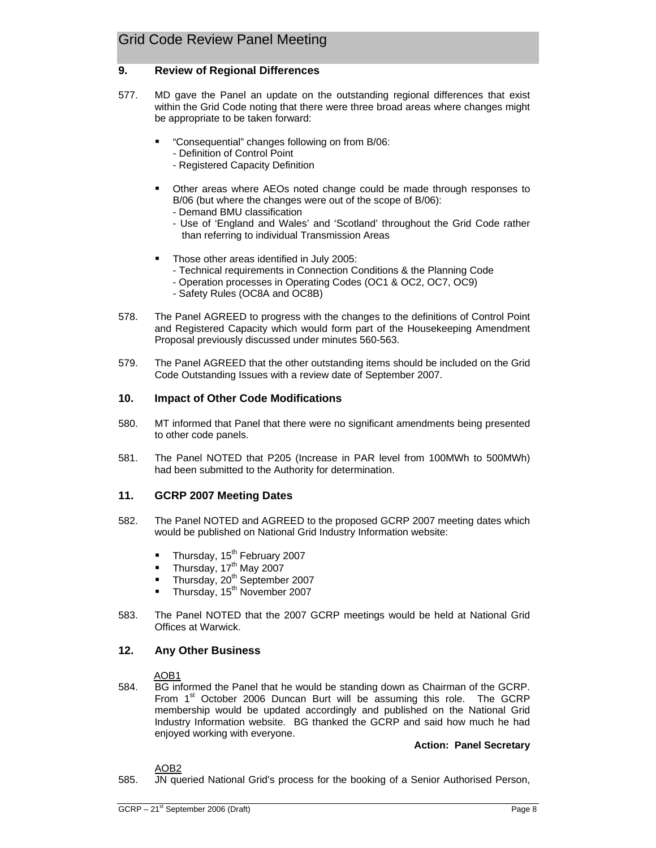## **9. Review of Regional Differences**

- 577. MD gave the Panel an update on the outstanding regional differences that exist within the Grid Code noting that there were three broad areas where changes might be appropriate to be taken forward:
	- "Consequential" changes following on from B/06:
		- Definition of Control Point
		- Registered Capacity Definition
	- Other areas where AEOs noted change could be made through responses to B/06 (but where the changes were out of the scope of B/06):
		- Demand BMU classification
		- Use of 'England and Wales' and 'Scotland' throughout the Grid Code rather than referring to individual Transmission Areas
	- **Those other areas identified in July 2005:** 
		- Technical requirements in Connection Conditions & the Planning Code
		- Operation processes in Operating Codes (OC1 & OC2, OC7, OC9)
		- Safety Rules (OC8A and OC8B)
- 578. The Panel AGREED to progress with the changes to the definitions of Control Point and Registered Capacity which would form part of the Housekeeping Amendment Proposal previously discussed under minutes 560-563.
- 579. The Panel AGREED that the other outstanding items should be included on the Grid Code Outstanding Issues with a review date of September 2007.

## **10. Impact of Other Code Modifications**

- 580. MT informed that Panel that there were no significant amendments being presented to other code panels.
- 581. The Panel NOTED that P205 (Increase in PAR level from 100MWh to 500MWh) had been submitted to the Authority for determination.

## **11. GCRP 2007 Meeting Dates**

- 582. The Panel NOTED and AGREED to the proposed GCRP 2007 meeting dates which would be published on National Grid Industry Information website:
	- Thursday,  $15<sup>th</sup>$  February 2007
	- Thursday,  $17<sup>th</sup>$  May 2007
	- Thursday, 20<sup>th</sup> September 2007
	- Thursday,  $15^{th}$  November 2007
- 583. The Panel NOTED that the 2007 GCRP meetings would be held at National Grid Offices at Warwick.

## **12. Any Other Business**

#### AOR<sub>1</sub>

584. BG informed the Panel that he would be standing down as Chairman of the GCRP. From  $1<sup>st</sup>$  October 2006 Duncan Burt will be assuming this role. The GCRP membership would be updated accordingly and published on the National Grid Industry Information website. BG thanked the GCRP and said how much he had enjoyed working with everyone.

## **Action: Panel Secretary**

#### AOB2

585. JN queried National Grid's process for the booking of a Senior Authorised Person,